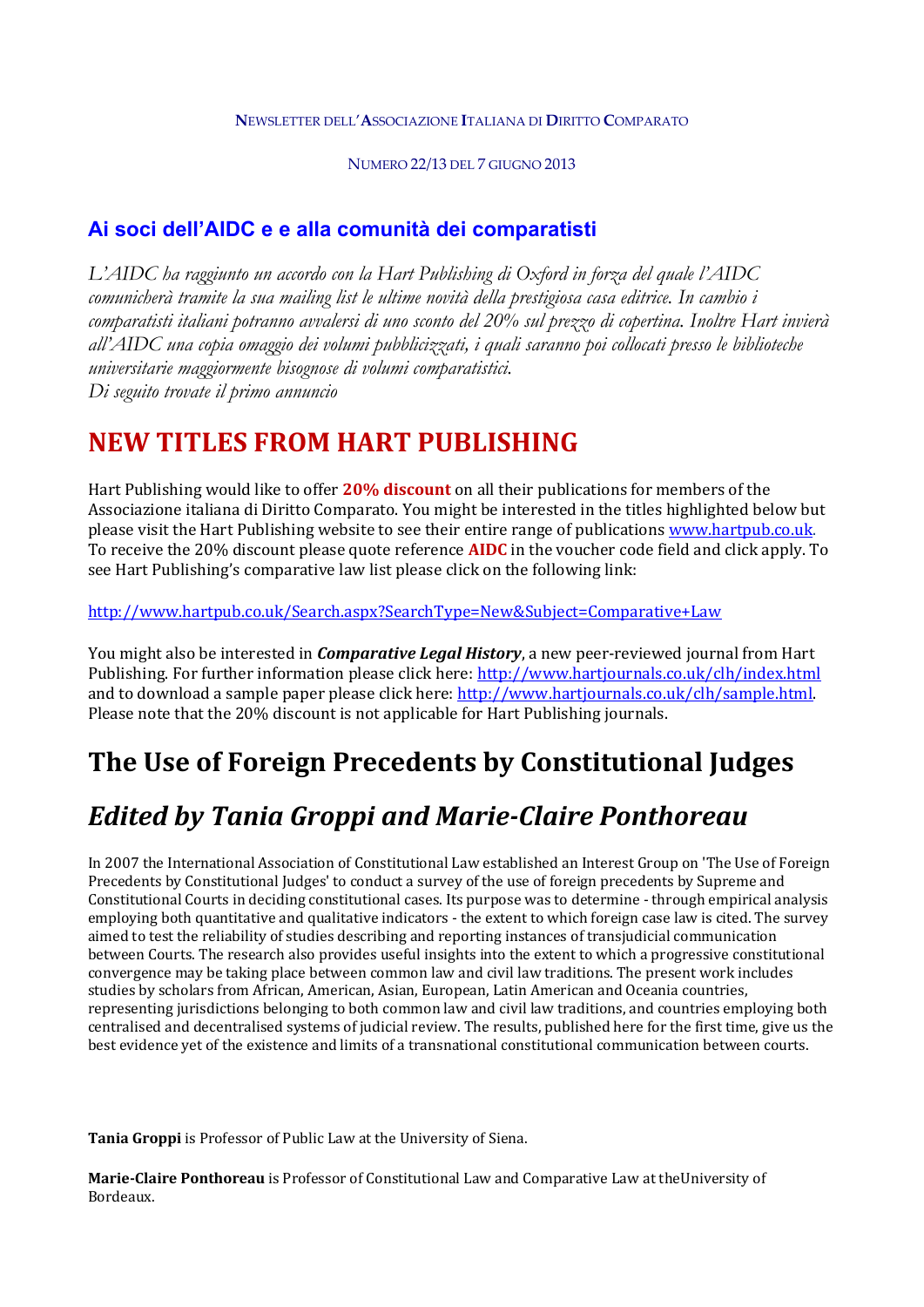#### **N**EWSLETTER DELL'**A**SSOCIAZIONE **I**TALIANA DI **D**IRITTO **C**OMPARATO

NUMERO 22/13 DEL 7 GIUGNO 2013

### **Ai soci dell'AIDC e e alla comunità dei comparatisti**

*L'AIDC ha raggiunto un accordo con la Hart Publishing di Oxford in forza del quale l'AIDC comunicherà tramite la sua mailing list le ultime novità della prestigiosa casa editrice. In cambio i comparatisti italiani potranno avvalersi di uno sconto del 20% sul prezzo di copertina. Inoltre Hart invierà all'AIDC una copia omaggio dei volumi pubblicizzati, i quali saranno poi collocati presso le biblioteche universitarie maggiormente bisognose di volumi comparatistici. Di seguito trovate il primo annuncio*

## **NEW TITLES FROM HART PUBLISHING**

Hart Publishing would like to offer **20% discount** on all their publications for members of the Associazione italiana di Diritto Comparato. You might be interested in the titles highlighted below but please visit the Hart Publishing website to see their entire range of publications www.hartpub.co.uk. To receive the 20% discount please quote reference **AIDC** in the voucher code field and click apply. To see Hart Publishing's comparative law list please click on the following link:

#### http://www.hartpub.co.uk/Search.aspx?SearchType=New&Subject=Comparative+Law

You might also be interested in *Comparative Legal History*, a new peer-reviewed journal from Hart Publishing. For further information please click here: http://www.hartjournals.co.uk/clh/index.html and to download a sample paper please click here: http://www.hartjournals.co.uk/clh/sample.html. Please note that the 20% discount is not applicable for Hart Publishing journals.

# **The Use of Foreign Precedents by Constitutional Judges**

# *Edited by Tania Groppi and Marie‐Claire Ponthoreau*

In 2007 the International Association of Constitutional Law established an Interest Group on 'The Use of Foreign Precedents by Constitutional Judges' to conduct a survey of the use of foreign precedents by Supreme and Constitutional Courts in deciding constitutional cases. Its purpose was to determine - through empirical analysis employing both quantitative and qualitative indicators - the extent to which foreign case law is cited. The survey aimed to test the reliability of studies describing and reporting instances of transjudicial communication between Courts. The research also provides useful insights into the extent to which a progressive constitutional convergence may be taking place between common law and civil law traditions. The present work includes studies by scholars from African, American, Asian, European, Latin American and Oceania countries, representing jurisdictions belonging to both common law and civil law traditions, and countries employing both centralised and decentralised systems of judicial review. The results, published here for the first time, give us the best evidence yet of the existence and limits of a transnational constitutional communication between courts.

**Tania Groppi** is Professor of Public Law at the University of Siena.

**Marie‐Claire Ponthoreau** is Professor of Constitutional Law and Comparative Law at theUniversity of Bordeaux.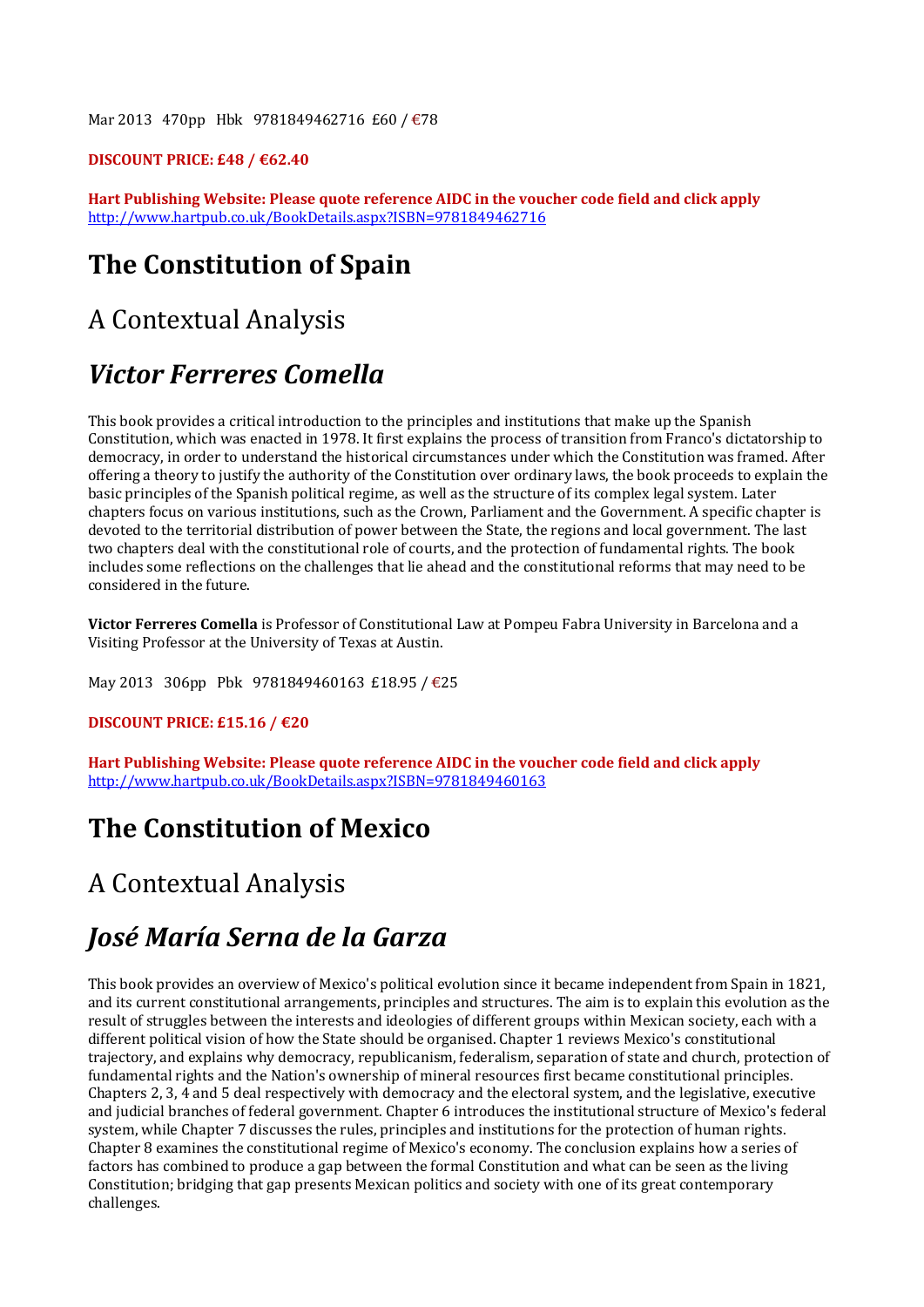Mar 2013 470pp Hbk 9781849462716 £60 / €78

#### **DISCOUNT PRICE: £48 / €62.40**

**Hart Publishing Website: Please quote reference AIDC in the voucher code field and click apply** http://www.hartpub.co.uk/BookDetails.aspx?ISBN=9781849462716

# **The Constitution of Spain**

### A Contextual Analysis

### *Victor Ferreres Comella*

This book provides a critical introduction to the principles and institutions that make up the Spanish Constitution, which was enacted in 1978. It first explains the process of transition from Franco's dictatorship to democracy, in order to understand the historical circumstances under which the Constitution was framed. After offering a theory to justify the authority of the Constitution over ordinary laws, the book proceeds to explain the basic principles of the Spanish political regime, as well as the structure of its complex legal system. Later chapters focus on various institutions, such as the Crown, Parliament and the Government. A specific chapter is devoted to the territorial distribution of power between the State, the regions and local government. The last two chapters deal with the constitutional role of courts, and the protection of fundamental rights. The book includes some reflections on the challenges that lie ahead and the constitutional reforms that may need to be considered in the future.

**Victor Ferreres Comella** is Professor of Constitutional Law at Pompeu Fabra University in Barcelona and a Visiting Professor at the University of Texas at Austin.

May 2013 306pp Pbk 9781849460163 £18.95 / €25

#### **DISCOUNT PRICE: £15.16 / €20**

**Hart Publishing Website: Please quote reference AIDC in the voucher code field and click apply** http://www.hartpub.co.uk/BookDetails.aspx?ISBN=9781849460163

### **The Constitution of Mexico**

## A Contextual Analysis

### *José María Serna de la Garza*

This book provides an overview of Mexico's political evolution since it became independent from Spain in 1821, and its current constitutional arrangements, principles and structures. The aim is to explain this evolution as the result of struggles between the interests and ideologies of different groups within Mexican society, each with a different political vision of how the State should be organised. Chapter 1 reviews Mexico's constitutional trajectory, and explains why democracy, republicanism, federalism, separation of state and church, protection of fundamental rights and the Nation's ownership of mineral resources first became constitutional principles. Chapters 2, 3, 4 and 5 deal respectively with democracy and the electoral system, and the legislative, executive and judicial branches of federal government. Chapter 6 introduces the institutional structure of Mexico's federal system, while Chapter 7 discusses the rules, principles and institutions for the protection of human rights. Chapter 8 examines the constitutional regime of Mexico's economy. The conclusion explains how a series of factors has combined to produce a gap between the formal Constitution and what can be seen as the living Constitution; bridging that gap presents Mexican politics and society with one of its great contemporary challenges.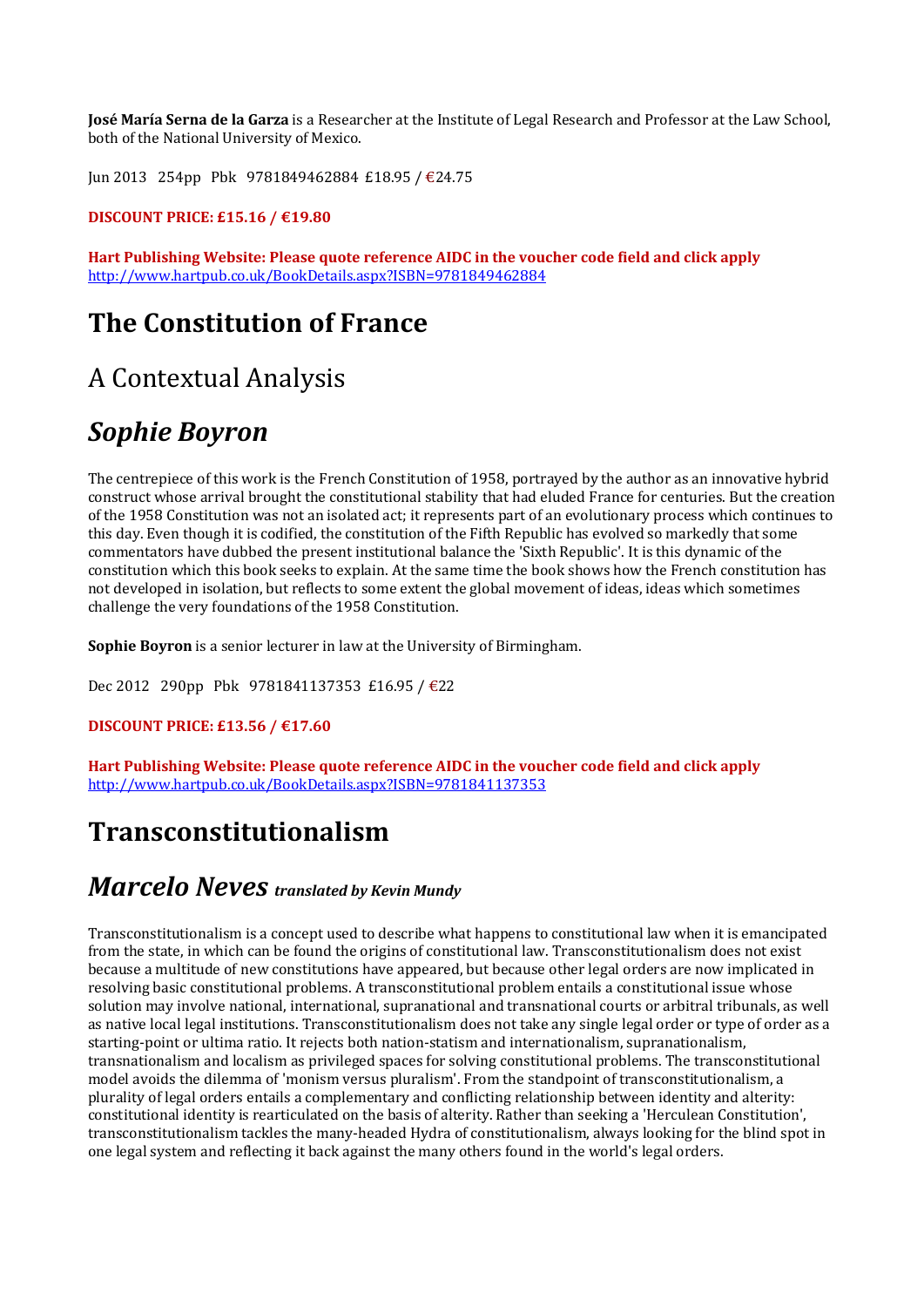**José María Serna de la Garza** is a Researcher at the Institute of Legal Research and Professor at the Law School, both of the National University of Mexico.

Jun 2013 254pp Pbk 9781849462884 £18.95 / €24.75

#### **DISCOUNT PRICE: £15.16 / €19.80**

**Hart Publishing Website: Please quote reference AIDC in the voucher code field and click apply** http://www.hartpub.co.uk/BookDetails.aspx?ISBN=9781849462884

## **The Constitution of France**

### A Contextual Analysis

### *Sophie Boyron*

The centrepiece of this work is the French Constitution of 1958, portrayed by the author as an innovative hybrid construct whose arrival brought the constitutional stability that had eluded France for centuries. But the creation of the 1958 Constitution was not an isolated act; it represents part of an evolutionary process which continues to this day. Even though it is codified, the constitution of the Fifth Republic has evolved so markedly that some commentators have dubbed the present institutional balance the 'Sixth Republic'. It is this dynamic of the constitution which this book seeks to explain. At the same time the book shows how the French constitution has not developed in isolation, but reflects to some extent the global movement of ideas, ideas which sometimes challenge the very foundations of the 1958 Constitution.

**Sophie Boyron** is a senior lecturer in law at the University of Birmingham.

Dec 2012 290pp Pbk 9781841137353 £16.95 / €22

#### **DISCOUNT PRICE: £13.56 / €17.60**

**Hart Publishing Website: Please quote reference AIDC in the voucher code field and click apply** http://www.hartpub.co.uk/BookDetails.aspx?ISBN=9781841137353

### **Transconstitutionalism**

### *Marcelo Neves translated by Kevin Mundy*

Transconstitutionalism is a concept used to describe what happens to constitutional law when it is emancipated from the state, in which can be found the origins of constitutional law. Transconstitutionalism does not exist because a multitude of new constitutions have appeared, but because other legal orders are now implicated in resolving basic constitutional problems. A transconstitutional problem entails a constitutional issue whose solution may involve national, international, supranational and transnational courts or arbitral tribunals, as well as native local legal institutions. Transconstitutionalism does not take any single legal order or type of order as a starting-point or ultima ratio. It rejects both nation-statism and internationalism, supranationalism, transnationalism and localism as privileged spaces for solving constitutional problems. The transconstitutional model avoids the dilemma of 'monism versus pluralism'. From the standpoint of transconstitutionalism, a plurality of legal orders entails a complementary and conflicting relationship between identity and alterity: constitutional identity is rearticulated on the basis of alterity. Rather than seeking a 'Herculean Constitution', transconstitutionalism tackles the many-headed Hydra of constitutionalism, always looking for the blind spot in one legal system and reflecting it back against the many others found in the world's legal orders.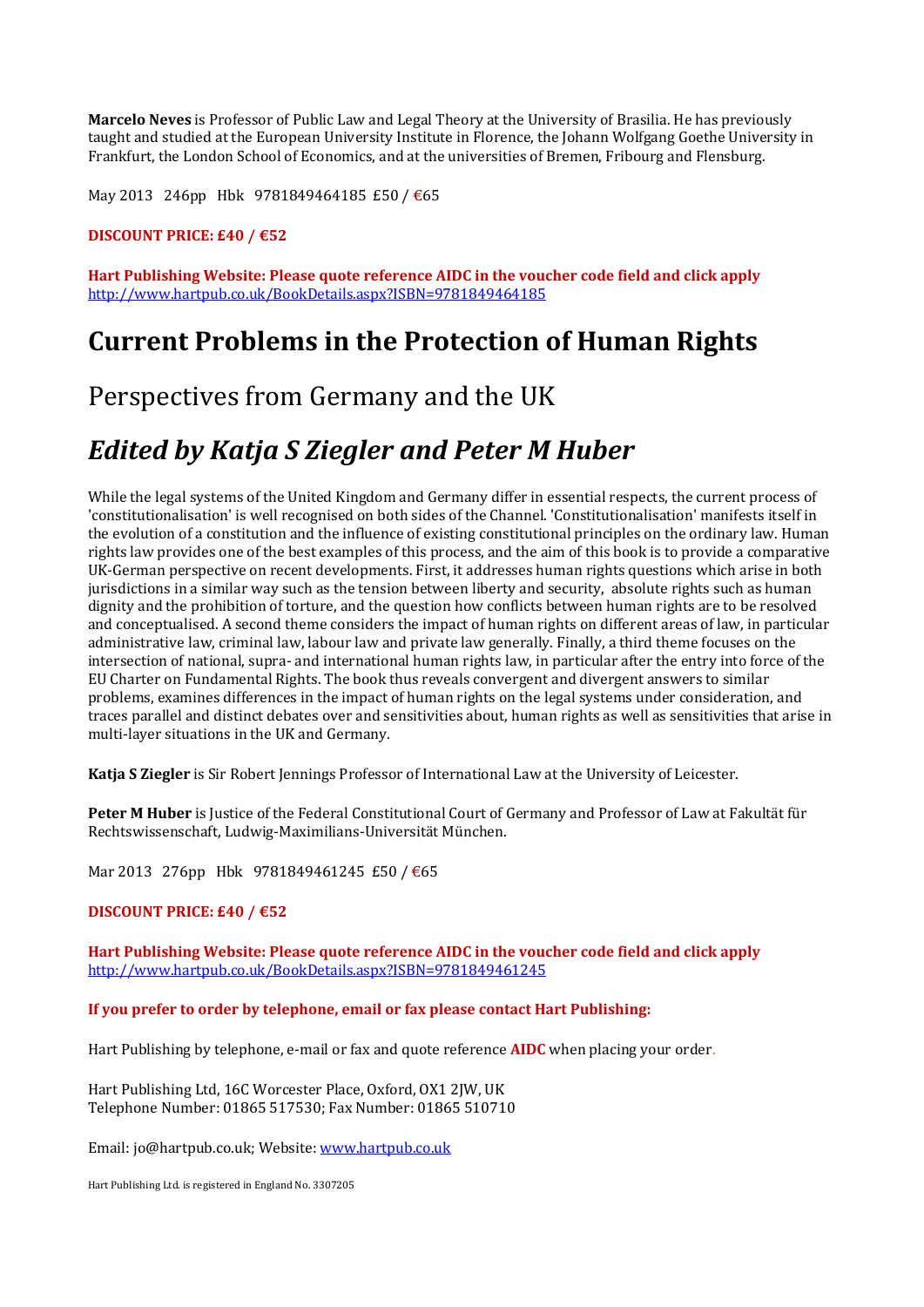**Marcelo Neves** is Professor of Public Law and Legal Theory at the University of Brasilia. He has previously taught and studied at the European University Institute in Florence, the Johann Wolfgang Goethe University in Frankfurt, the London School of Economics, and at the universities of Bremen, Fribourg and Flensburg.

May 2013 246pp Hbk 9781849464185 £50 / €65

#### **DISCOUNT PRICE: £40 / €52**

**Hart Publishing Website: Please quote reference AIDC in the voucher code field and click apply** http://www.hartpub.co.uk/BookDetails.aspx?ISBN=9781849464185

### **Current Problems in the Protection of Human Rights**

### Perspectives from Germany and the UK

## *Edited by Katja S Ziegler and Peter M Huber*

While the legal systems of the United Kingdom and Germany differ in essential respects, the current process of 'constitutionalisation' is well recognised on both sides of the Channel. 'Constitutionalisation' manifests itself in the evolution of a constitution and the influence of existing constitutional principles on the ordinary law. Human rights law provides one of the best examples of this process, and the aim of this book is to provide a comparative UK-German perspective on recent developments. First, it addresses human rights questions which arise in both jurisdictions in a similar way such as the tension between liberty and security, absolute rights such as human dignity and the prohibition of torture, and the question how conflicts between human rights are to be resolved and conceptualised. A second theme considers the impact of human rights on different areas of law, in particular administrative law, criminal law, labour law and private law generally. Finally, a third theme focuses on the intersection of national, supra- and international human rights law, in particular after the entry into force of the EU Charter on Fundamental Rights. The book thus reveals convergent and divergent answers to similar problems, examines differences in the impact of human rights on the legal systems under consideration, and traces parallel and distinct debates over and sensitivities about, human rights as well as sensitivities that arise in multi-layer situations in the UK and Germany.

**Katja S Ziegler** is Sir Robert Jennings Professor of International Law at the University of Leicester.

**Peter M Huber** is Justice of the Federal Constitutional Court of Germany and Professor of Law at Fakultät für Rechtswissenschaft, Ludwig-Maximilians-Universität München.

Mar 2013 276pp Hbk 9781849461245 £50 / €65

#### **DISCOUNT PRICE: £40 / €52**

**Hart Publishing Website: Please quote reference AIDC in the voucher code field and click apply** http://www.hartpub.co.uk/BookDetails.aspx?ISBN=9781849461245

**If you prefer to order by telephone, email or fax please contact Hart Publishing:**

Hart Publishing by telephone, e-mail or fax and quote reference **AIDC** when placing your order.

Hart Publishing Ltd, 16C Worcester Place, Oxford, OX1 2JW, UK Telephone Number: 01865 517530; Fax Number: 01865 510710

Email: jo@hartpub.co.uk; Website: www.hartpub.co.uk

Hart Publishing Ltd. is registered in England No. 3307205